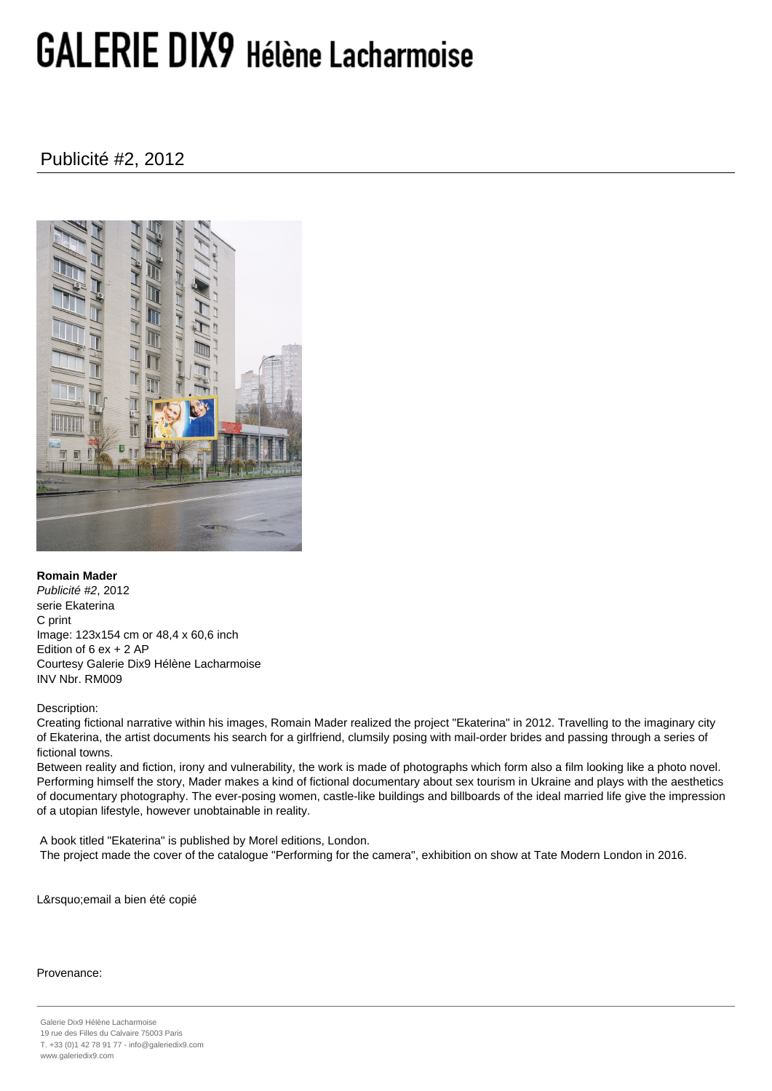## **GALERIE DIX9 Hélène Lacharmoise**

Publicité #2, 2012



**Romain Mader** Publicité #2, 2012 serie Ekaterina C print Image: 123x154 cm or 48,4 x 60,6 inch Edition of 6 ex + 2 AP Courtesy Galerie Dix9 Hélène Lacharmoise INV Nbr. RM009

Description:

Creating fictional narrative within his images, Romain Mader realized the project "Ekaterina" in 2012. Travelling to the imaginary city of Ekaterina, the artist documents his search for a girlfriend, clumsily posing with mail-order brides and passing through a series of fictional towns.

Between reality and fiction, irony and vulnerability, the work is made of photographs which form also a film looking like a photo novel. Performing himself the story, Mader makes a kind of fictional documentary about sex tourism in Ukraine and plays with the aesthetics of documentary photography. The ever-posing women, castle-like buildings and billboards of the ideal married life give the impression of a utopian lifestyle, however unobtainable in reality.

 A book titled "Ekaterina" is published by Morel editions, London. The project made the cover of the catalogue "Performing for the camera", exhibition on show at Tate Modern London in 2016.

L'email a bien été copié

## Provenance: